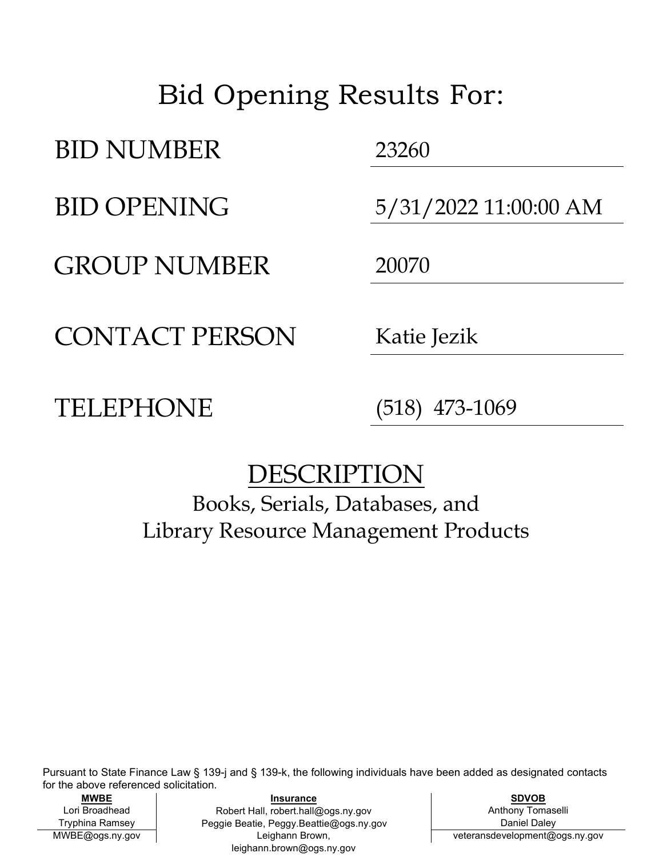## Bid Opening Results For:

BID NUMBER 23260

GROUP NUMBER 20070

BID OPENING 5/31/2022 11:00:00 AM

CONTACT PERSON Katie Jezik

TELEPHONE (518) 473-1069

## DESCRIPTION

Books, Serials, Databases, and Library Resource Management Products

Pursuant to State Finance Law § 139-j and § 139-k, the following individuals have been added as designated contacts for the above referenced solicitation.

MWBE@ogs.ny.gov

**MWBE SDVOB** Lori Broadhead | Robert Hall, robert.hall@ogs.ny.gov | Anthony Tomaselli Tryphina Ramsey | Peggie Beatie, Peggy.Beattie@ogs.ny.gov Daniel Daley **Insurance** Leighann Brown, leighann.brown@ogs.ny.gov

veteransdevelopment@ogs.ny.gov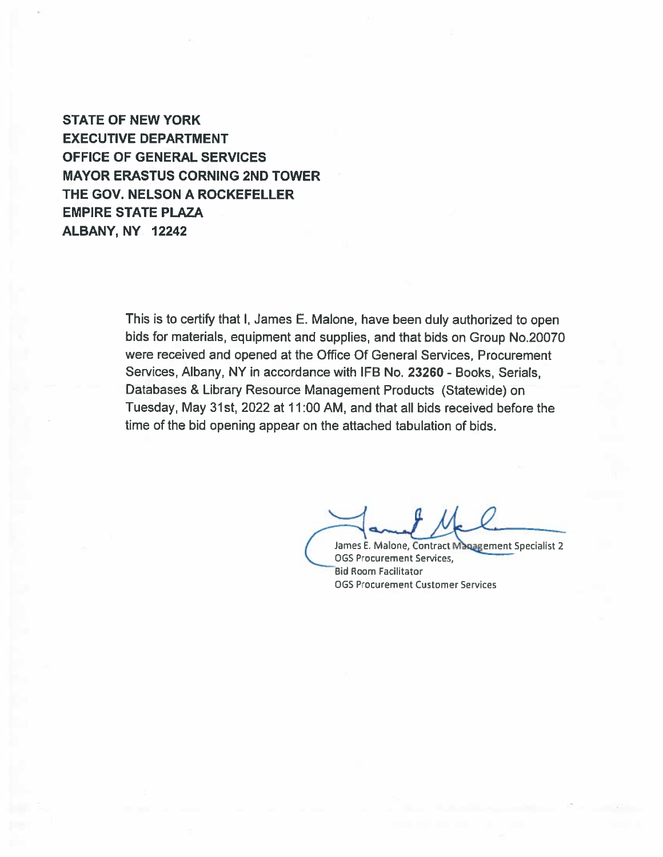**STATE OF NEW YORK EXECUTIVE DEPARTMENT OFFICE OF GENERAL SERVICES MAYOR ERASTUS CORNING 2ND TOWER** THE GOV. NELSON A ROCKEFELLER **EMPIRE STATE PLAZA** ALBANY, NY 12242

> This is to certify that I, James E. Malone, have been duly authorized to open bids for materials, equipment and supplies, and that bids on Group No.20070 were received and opened at the Office Of General Services, Procurement Services, Albany, NY in accordance with IFB No. 23260 - Books, Serials, Databases & Library Resource Management Products (Statewide) on Tuesday, May 31st, 2022 at 11:00 AM, and that all bids received before the time of the bid opening appear on the attached tabulation of bids.

James E. Malone, Contract Management Specialist 2 **OGS Procurement Services, Bid Room Facilitator OGS Procurement Customer Services**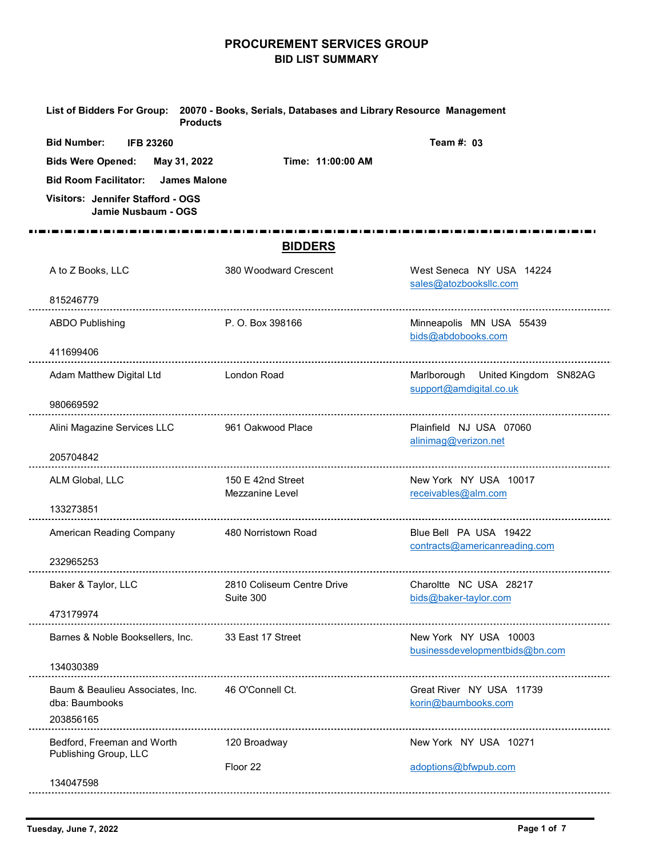## PROCUREMENT SERVICES GROUP BID LIST SUMMARY

|                                                                                                                                                                                                       | <b>PROCUREMENT SERVICES GROUP</b><br><b>BID LIST SUMMARY</b>                                 |                                                              |
|-------------------------------------------------------------------------------------------------------------------------------------------------------------------------------------------------------|----------------------------------------------------------------------------------------------|--------------------------------------------------------------|
| <b>Products</b>                                                                                                                                                                                       | List of Bidders For Group: 20070 - Books, Serials, Databases and Library Resource Management |                                                              |
| <b>Bid Number:</b><br><b>IFB 23260</b><br><b>Bids Were Opened:</b><br>May 31, 2022<br><b>Bid Room Facilitator:</b><br><b>James Malone</b><br>Visitors: Jennifer Stafford - OGS<br>Jamie Nusbaum - OGS | Time: 11:00:00 AM                                                                            | Team #: 03                                                   |
|                                                                                                                                                                                                       | <b>BIDDERS</b>                                                                               |                                                              |
| A to Z Books, LLC<br>815246779                                                                                                                                                                        | 380 Woodward Crescent                                                                        | West Seneca NY USA 14224<br>sales@atozbooksllc.com           |
| <b>ABDO Publishing</b>                                                                                                                                                                                | P. O. Box 398166                                                                             | Minneapolis MN USA 55439<br>bids@abdobooks.com               |
| 411699406                                                                                                                                                                                             |                                                                                              |                                                              |
| Adam Matthew Digital Ltd                                                                                                                                                                              | London Road                                                                                  | Marlborough United Kingdom SN82AG<br>support@amdigital.co.uk |
| 980669592                                                                                                                                                                                             |                                                                                              |                                                              |
| Alini Magazine Services LLC<br>205704842                                                                                                                                                              | 961 Oakwood Place                                                                            | Plainfield NJ USA 07060<br>alinimag@verizon.net              |
| ALM Global, LLC                                                                                                                                                                                       | 150 E 42nd Street<br>Mezzanine Level                                                         | New York NY USA 10017<br>receivables@alm.com                 |
| 133273851                                                                                                                                                                                             |                                                                                              |                                                              |
| American Reading Company                                                                                                                                                                              | 480 Norristown Road                                                                          | Blue Bell PA USA 19422<br>contracts@americanreading.com      |
| 232965253<br>Baker & Taylor, LLC                                                                                                                                                                      | 2810 Coliseum Centre Drive<br>Suite 300                                                      | Charoltte NC USA 28217<br>bids@baker-taylor.com              |
| 473179974                                                                                                                                                                                             |                                                                                              |                                                              |
| Barnes & Noble Booksellers, Inc.                                                                                                                                                                      | 33 East 17 Street                                                                            | New York NY USA 10003<br>businessdevelopmentbids@bn.com      |
| 134030389                                                                                                                                                                                             |                                                                                              |                                                              |
| Baum & Beaulieu Associates, Inc.<br>dba: Baumbooks<br>203856165                                                                                                                                       | 46 O'Connell Ct.                                                                             | Great River NY USA 11739<br>korin@baumbooks.com              |
| Bedford, Freeman and Worth<br>Publishing Group, LLC                                                                                                                                                   | 120 Broadway                                                                                 | New York NY USA 10271                                        |
| 134047598                                                                                                                                                                                             | Floor 22                                                                                     | adoptions@bfwpub.com                                         |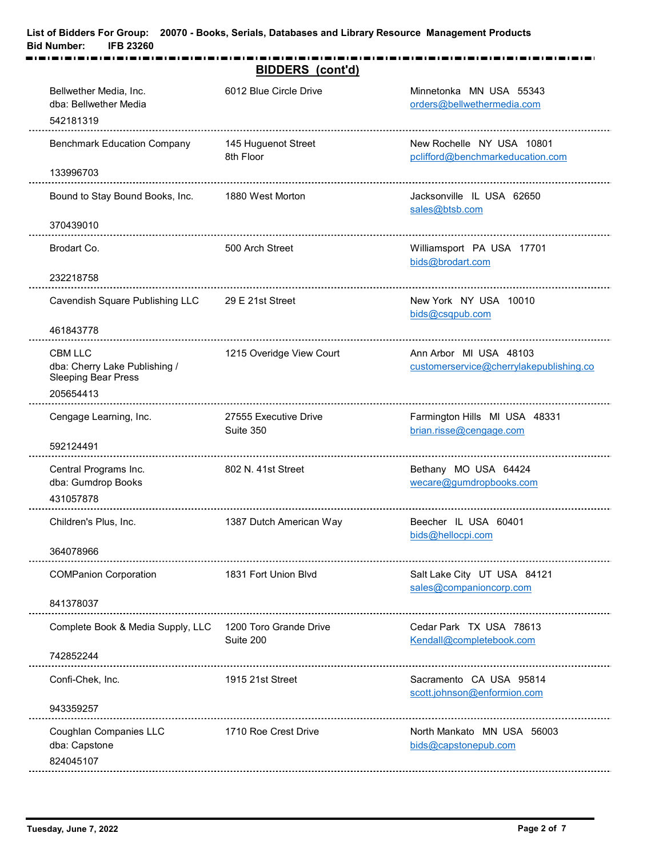|                                                                          | <b>BIDDERS</b> (cont'd)            |                                                               |
|--------------------------------------------------------------------------|------------------------------------|---------------------------------------------------------------|
| Bellwether Media, Inc.<br>dba: Bellwether Media                          | 6012 Blue Circle Drive             | Minnetonka MN USA 55343<br>orders@bellwethermedia.com         |
| 542181319                                                                |                                    |                                                               |
| <b>Benchmark Education Company</b>                                       | 145 Huguenot Street<br>8th Floor   | New Rochelle NY USA 10801<br>pclifford@benchmarkeducation.com |
| 133996703                                                                |                                    |                                                               |
| Bound to Stay Bound Books, Inc.                                          | 1880 West Morton                   | Jacksonville IL USA 62650<br>sales@btsb.com                   |
| 370439010                                                                |                                    |                                                               |
| Brodart Co.                                                              | 500 Arch Street                    | Williamsport PA USA 17701<br>bids@brodart.com                 |
| 232218758                                                                |                                    |                                                               |
| Cavendish Square Publishing LLC                                          | 29 E 21st Street                   | New York NY USA 10010<br>bids@csqpub.com                      |
| 461843778                                                                |                                    |                                                               |
| CBM LLC                                                                  | 1215 Overidge View Court           | Ann Arbor MI USA 48103                                        |
| dba: Cherry Lake Publishing /<br><b>Sleeping Bear Press</b><br>205654413 |                                    | customerservice@cherrylakepublishing.co                       |
| Cengage Learning, Inc.                                                   | 27555 Executive Drive<br>Suite 350 | Farmington Hills MI USA 48331<br>brian.risse@cengage.com      |
| 592124491                                                                |                                    |                                                               |
| Central Programs Inc.<br>dba: Gumdrop Books<br>431057878                 | 802 N. 41st Street                 | Bethany MO USA 64424<br>wecare@gumdropbooks.com               |
|                                                                          |                                    |                                                               |
| Children's Plus, Inc.                                                    | 1387 Dutch American Way            | Beecher IL USA 60401<br>bids@hellocpi.com                     |
| 364078966                                                                |                                    |                                                               |
| <b>COMPanion Corporation</b>                                             | 1831 Fort Union Blvd               | Salt Lake City UT USA 84121<br>sales@companioncorp.com        |
| 841378037                                                                |                                    |                                                               |
| Complete Book & Media Supply, LLC 1200 Toro Grande Drive                 | Suite 200                          | Cedar Park TX USA 78613<br>Kendall@completebook.com           |
| 742852244                                                                |                                    |                                                               |
| Confi-Chek, Inc.                                                         | 1915 21st Street                   | Sacramento CA USA 95814<br>scott.johnson@enformion.com        |
| 943359257                                                                |                                    |                                                               |
| Coughlan Companies LLC<br>dba: Capstone<br>824045107                     | 1710 Roe Crest Drive               | North Mankato MN USA 56003<br>bids@capstonepub.com            |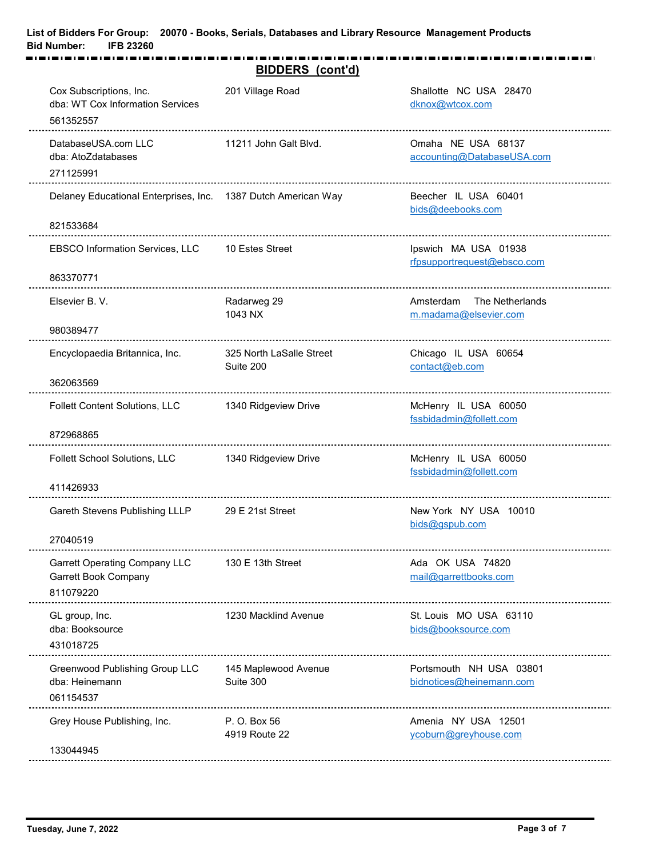|                                                                                  | <b>BIDDERS</b> (cont'd)               |                                                     |
|----------------------------------------------------------------------------------|---------------------------------------|-----------------------------------------------------|
| Cox Subscriptions, Inc.<br>dba: WT Cox Information Services<br>561352557         | 201 Village Road                      | Shallotte NC USA 28470<br>dknox@wtcox.com           |
| DatabaseUSA.com LLC<br>dba: AtoZdatabases<br>271125991                           | 11211 John Galt Blvd.                 | Omaha NE USA 68137<br>accounting@DatabaseUSA.com    |
| Delaney Educational Enterprises, Inc. 1387 Dutch American Way                    |                                       | Beecher IL USA 60401<br>bids@deebooks.com           |
| 821533684                                                                        |                                       |                                                     |
| <b>EBSCO Information Services, LLC</b><br>863370771                              | 10 Estes Street                       | Ipswich MA USA 01938<br>rfpsupportrequest@ebsco.com |
| Elsevier B.V.                                                                    | Radarweg 29<br>1043 NX                | Amsterdam The Netherlands<br>m.madama@elsevier.com  |
| 980389477                                                                        |                                       |                                                     |
| Encyclopaedia Britannica, Inc.                                                   | 325 North LaSalle Street<br>Suite 200 | Chicago IL USA 60654<br>contact@eb.com              |
| 362063569                                                                        |                                       |                                                     |
| Follett Content Solutions, LLC                                                   | 1340 Ridgeview Drive                  | McHenry IL USA 60050<br>fssbidadmin@follett.com     |
| 872968865                                                                        |                                       |                                                     |
| Follett School Solutions, LLC<br>411426933                                       | 1340 Ridgeview Drive                  | McHenry IL USA 60050<br>fssbidadmin@follett.com     |
| Gareth Stevens Publishing LLLP                                                   | 29 E 21st Street                      | New York NY USA 10010                               |
| 27040519                                                                         |                                       | bids@gspub.com                                      |
| <b>Garrett Operating Company LLC</b><br><b>Garrett Book Company</b><br>811079220 | 130 E 13th Street                     | Ada OK USA 74820<br>mail@garrettbooks.com           |
| GL group, Inc.<br>dba: Booksource<br>431018725                                   | 1230 Macklind Avenue                  | St. Louis MO USA 63110<br>bids@booksource.com       |
| <b>Greenwood Publishing Group LLC</b><br>dba: Heinemann<br>061154537             | 145 Maplewood Avenue<br>Suite 300     | Portsmouth NH USA 03801<br>bidnotices@heinemann.com |
| Grey House Publishing, Inc.                                                      | P. O. Box 56<br>4919 Route 22         | Amenia NY USA 12501<br>ycoburn@greyhouse.com        |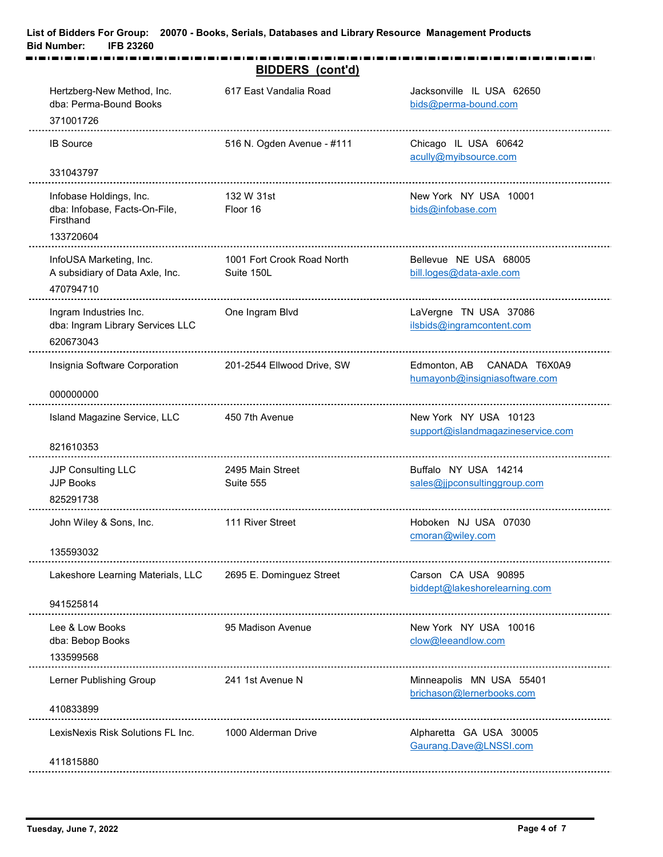|                                                                                                 | <b>BIDDERS</b> (cont'd)                  |                                                             |
|-------------------------------------------------------------------------------------------------|------------------------------------------|-------------------------------------------------------------|
| Hertzberg-New Method, Inc.<br>dba: Perma-Bound Books<br>371001726                               | 617 East Vandalia Road                   | Jacksonville IL USA 62650<br>bids@perma-bound.com           |
| <b>IB Source</b>                                                                                | 516 N. Ogden Avenue - #111               | Chicago IL USA 60642<br>acully@myibsource.com               |
| 331043797<br>Infobase Holdings, Inc.<br>dba: Infobase, Facts-On-File,<br>Firsthand<br>133720604 | 132 W 31st<br>Floor 16                   | New York NY USA 10001<br>bids@infobase.com                  |
| InfoUSA Marketing, Inc.<br>A subsidiary of Data Axle, Inc.<br>470794710                         | 1001 Fort Crook Road North<br>Suite 150L | Bellevue NE USA 68005<br>bill.loges@data-axle.com           |
| Ingram Industries Inc.<br>dba: Ingram Library Services LLC<br>620673043                         | One Ingram Blvd                          | LaVergne TN USA 37086<br>ilsbids@ingramcontent.com          |
| Insignia Software Corporation<br>000000000                                                      | 201-2544 Ellwood Drive, SW               | Edmonton, AB CANADA T6X0A9<br>humayonb@insigniasoftware.com |
| Island Magazine Service, LLC                                                                    | 450 7th Avenue                           | New York NY USA 10123<br>support@islandmagazineservice.com  |
| 821610353<br>JJP Consulting LLC<br>JJP Books<br>825291738                                       | 2495 Main Street<br>Suite 555            | Buffalo NY USA 14214<br>sales@jjpconsultinggroup.com        |
| John Wiley & Sons, Inc.<br>135593032                                                            | 111 River Street                         | Hoboken NJ USA 07030<br>cmoran@wiley.com                    |
| Lakeshore Learning Materials, LLC                                                               | 2695 E. Dominguez Street                 | Carson CA USA 90895<br>biddept@lakeshorelearning.com        |
| 941525814<br>Lee & Low Books<br>dba: Bebop Books                                                | 95 Madison Avenue                        | New York NY USA 10016<br>clow@leeandlow.com                 |
| 133599568<br>Lerner Publishing Group                                                            | 241 1st Avenue N                         | Minneapolis MN USA 55401<br>brichason@lernerbooks.com       |
| 410833899<br>LexisNexis Risk Solutions FL Inc.                                                  | 1000 Alderman Drive                      | Alpharetta GA USA 30005<br>Gaurang.Dave@LNSSI.com           |
| 411815880                                                                                       |                                          |                                                             |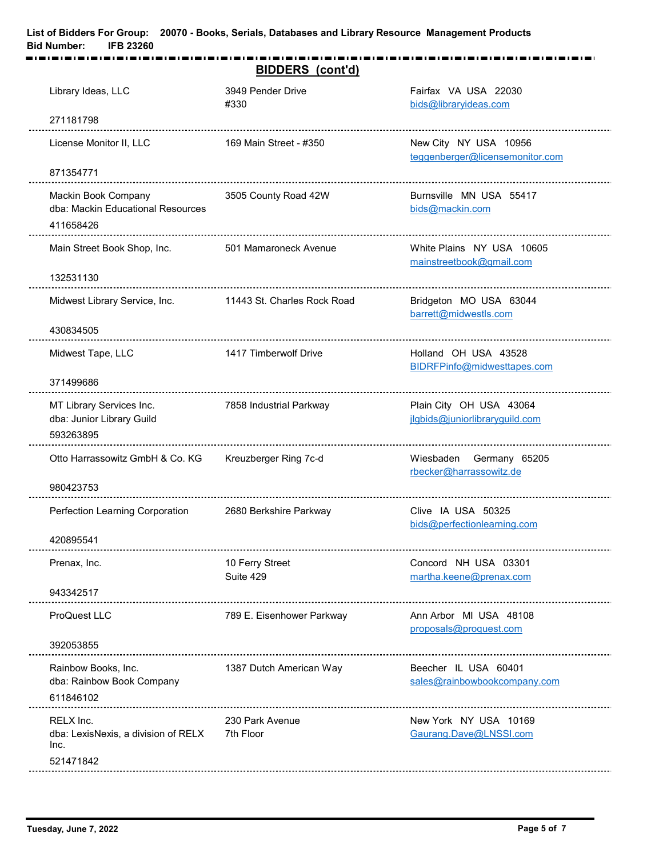|                                                                       | <b>BIDDERS</b> (cont'd)      |                                                           |
|-----------------------------------------------------------------------|------------------------------|-----------------------------------------------------------|
| Library Ideas, LLC                                                    | 3949 Pender Drive<br>#330    | Fairfax VA USA 22030<br>bids@libraryideas.com             |
| 271181798                                                             |                              |                                                           |
| License Monitor II, LLC                                               | 169 Main Street - #350       | New City NY USA 10956<br>teggenberger@licensemonitor.com  |
| 871354771                                                             |                              |                                                           |
| Mackin Book Company<br>dba: Mackin Educational Resources<br>411658426 | 3505 County Road 42W         | Burnsville MN USA 55417<br>bids@mackin.com                |
| Main Street Book Shop, Inc.                                           | 501 Mamaroneck Avenue        | White Plains NY USA 10605<br>mainstreetbook@gmail.com     |
| 132531130                                                             |                              |                                                           |
| Midwest Library Service, Inc.                                         | 11443 St. Charles Rock Road  | Bridgeton MO USA 63044<br>barrett@midwestls.com           |
| 430834505                                                             |                              |                                                           |
| Midwest Tape, LLC                                                     | 1417 Timberwolf Drive        | Holland OH USA 43528<br>BIDRFPinfo@midwesttapes.com       |
| 371499686                                                             |                              |                                                           |
| MT Library Services Inc.<br>dba: Junior Library Guild<br>593263895    | 7858 Industrial Parkway      | Plain City OH USA 43064<br>jlgbids@juniorlibraryguild.com |
| Otto Harrassowitz GmbH & Co. KG                                       | Kreuzberger Ring 7c-d        | Wiesbaden Germany 65205<br>rbecker@harrassowitz.de        |
| 980423753                                                             |                              |                                                           |
| Perfection Learning Corporation                                       | 2680 Berkshire Parkway       | Clive IA USA 50325<br>bids@perfectionlearning.com         |
| 420895541                                                             |                              |                                                           |
| Prenax, Inc.                                                          | 10 Ferry Street<br>Suite 429 | Concord NH USA 03301<br>martha.keene@prenax.com           |
| 943342517                                                             |                              |                                                           |
| ProQuest LLC                                                          | 789 E. Eisenhower Parkway    | Ann Arbor MI USA 48108<br>proposals@proquest.com          |
| 392053855                                                             |                              |                                                           |
| Rainbow Books, Inc.<br>dba: Rainbow Book Company<br>611846102         | 1387 Dutch American Way      | Beecher IL USA 60401<br>sales@rainbowbookcompany.com      |
| RELX Inc.<br>dba: LexisNexis, a division of RELX<br>Inc.              | 230 Park Avenue<br>7th Floor | New York NY USA 10169<br>Gaurang.Dave@LNSSI.com           |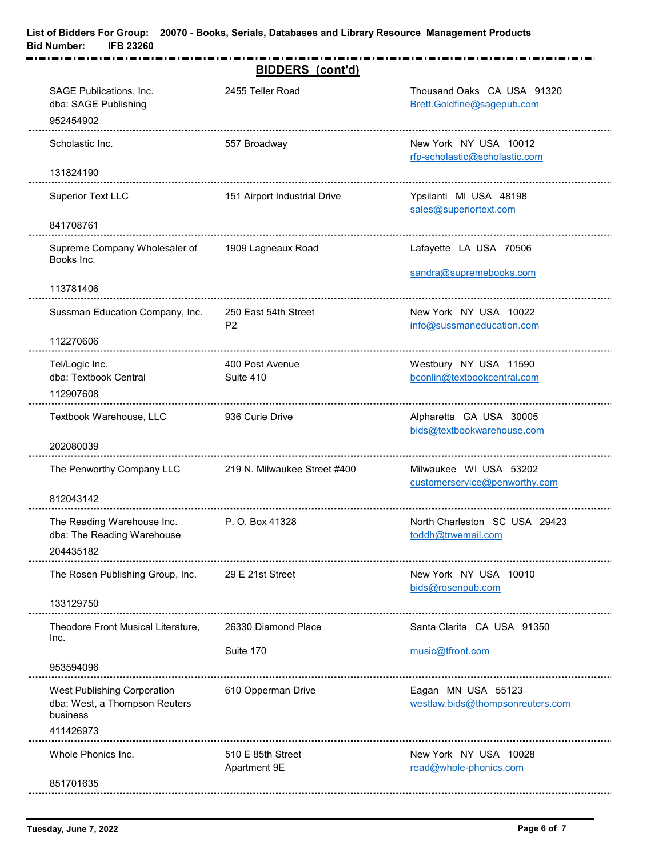| SAGE Publications, Inc.<br>2455 Teller Road<br>Thousand Oaks CA USA 91320<br>dba: SAGE Publishing<br>Brett.Goldfine@sagepub.com<br>952454902<br>Scholastic Inc.<br>New York NY USA 10012<br>557 Broadway<br>rfp-scholastic@scholastic.com<br>131824190<br><b>Superior Text LLC</b><br>Ypsilanti MI USA 48198<br>151 Airport Industrial Drive<br>sales@superiortext.com<br>841708761<br>Supreme Company Wholesaler of<br>1909 Lagneaux Road<br>Lafayette LA USA 70506<br>Books Inc.<br>sandra@supremebooks.com<br>113781406<br>250 East 54th Street<br>Sussman Education Company, Inc.<br>New York NY USA 10022<br>info@sussmaneducation.com<br>P <sub>2</sub><br>112270606<br>Tel/Logic Inc.<br>400 Post Avenue<br>Westbury NY USA 11590<br>dba: Textbook Central<br>Suite 410<br>bconlin@textbookcentral.com<br>112907608<br>Textbook Warehouse, LLC<br>936 Curie Drive<br>Alpharetta GA USA 30005<br>bids@textbookwarehouse.com<br>202080039<br>The Penworthy Company LLC<br>219 N. Milwaukee Street #400<br>Milwaukee WI USA 53202<br>customerservice@penworthy.com<br>812043142<br>The Reading Warehouse Inc.<br>P. O. Box 41328<br>North Charleston SC USA 29423<br>dba: The Reading Warehouse<br>toddh@trwemail.com<br>204435182<br>The Rosen Publishing Group, Inc.<br>New York NY USA 10010<br>29 E 21st Street<br>bids@rosenpub.com<br>133129750<br>26330 Diamond Place<br>Santa Clarita CA USA 91350<br>Theodore Front Musical Literature,<br>Inc.<br>Suite 170<br>music@tfront.com<br>953594096<br>West Publishing Corporation<br>610 Opperman Drive<br>Eagan MN USA 55123<br>dba: West, a Thompson Reuters<br>westlaw.bids@thompsonreuters.com<br>business<br>411426973<br>Whole Phonics Inc.<br>510 E 85th Street<br>New York NY USA 10028 | <b>BIDDERS</b> (cont'd) |                        |
|---------------------------------------------------------------------------------------------------------------------------------------------------------------------------------------------------------------------------------------------------------------------------------------------------------------------------------------------------------------------------------------------------------------------------------------------------------------------------------------------------------------------------------------------------------------------------------------------------------------------------------------------------------------------------------------------------------------------------------------------------------------------------------------------------------------------------------------------------------------------------------------------------------------------------------------------------------------------------------------------------------------------------------------------------------------------------------------------------------------------------------------------------------------------------------------------------------------------------------------------------------------------------------------------------------------------------------------------------------------------------------------------------------------------------------------------------------------------------------------------------------------------------------------------------------------------------------------------------------------------------------------------------------------------------------------------------------------------------------------------------------|-------------------------|------------------------|
|                                                                                                                                                                                                                                                                                                                                                                                                                                                                                                                                                                                                                                                                                                                                                                                                                                                                                                                                                                                                                                                                                                                                                                                                                                                                                                                                                                                                                                                                                                                                                                                                                                                                                                                                                         |                         |                        |
|                                                                                                                                                                                                                                                                                                                                                                                                                                                                                                                                                                                                                                                                                                                                                                                                                                                                                                                                                                                                                                                                                                                                                                                                                                                                                                                                                                                                                                                                                                                                                                                                                                                                                                                                                         |                         |                        |
|                                                                                                                                                                                                                                                                                                                                                                                                                                                                                                                                                                                                                                                                                                                                                                                                                                                                                                                                                                                                                                                                                                                                                                                                                                                                                                                                                                                                                                                                                                                                                                                                                                                                                                                                                         |                         |                        |
|                                                                                                                                                                                                                                                                                                                                                                                                                                                                                                                                                                                                                                                                                                                                                                                                                                                                                                                                                                                                                                                                                                                                                                                                                                                                                                                                                                                                                                                                                                                                                                                                                                                                                                                                                         |                         |                        |
|                                                                                                                                                                                                                                                                                                                                                                                                                                                                                                                                                                                                                                                                                                                                                                                                                                                                                                                                                                                                                                                                                                                                                                                                                                                                                                                                                                                                                                                                                                                                                                                                                                                                                                                                                         |                         |                        |
|                                                                                                                                                                                                                                                                                                                                                                                                                                                                                                                                                                                                                                                                                                                                                                                                                                                                                                                                                                                                                                                                                                                                                                                                                                                                                                                                                                                                                                                                                                                                                                                                                                                                                                                                                         |                         |                        |
|                                                                                                                                                                                                                                                                                                                                                                                                                                                                                                                                                                                                                                                                                                                                                                                                                                                                                                                                                                                                                                                                                                                                                                                                                                                                                                                                                                                                                                                                                                                                                                                                                                                                                                                                                         |                         |                        |
|                                                                                                                                                                                                                                                                                                                                                                                                                                                                                                                                                                                                                                                                                                                                                                                                                                                                                                                                                                                                                                                                                                                                                                                                                                                                                                                                                                                                                                                                                                                                                                                                                                                                                                                                                         |                         |                        |
|                                                                                                                                                                                                                                                                                                                                                                                                                                                                                                                                                                                                                                                                                                                                                                                                                                                                                                                                                                                                                                                                                                                                                                                                                                                                                                                                                                                                                                                                                                                                                                                                                                                                                                                                                         |                         |                        |
|                                                                                                                                                                                                                                                                                                                                                                                                                                                                                                                                                                                                                                                                                                                                                                                                                                                                                                                                                                                                                                                                                                                                                                                                                                                                                                                                                                                                                                                                                                                                                                                                                                                                                                                                                         |                         |                        |
|                                                                                                                                                                                                                                                                                                                                                                                                                                                                                                                                                                                                                                                                                                                                                                                                                                                                                                                                                                                                                                                                                                                                                                                                                                                                                                                                                                                                                                                                                                                                                                                                                                                                                                                                                         |                         |                        |
|                                                                                                                                                                                                                                                                                                                                                                                                                                                                                                                                                                                                                                                                                                                                                                                                                                                                                                                                                                                                                                                                                                                                                                                                                                                                                                                                                                                                                                                                                                                                                                                                                                                                                                                                                         |                         |                        |
|                                                                                                                                                                                                                                                                                                                                                                                                                                                                                                                                                                                                                                                                                                                                                                                                                                                                                                                                                                                                                                                                                                                                                                                                                                                                                                                                                                                                                                                                                                                                                                                                                                                                                                                                                         |                         |                        |
|                                                                                                                                                                                                                                                                                                                                                                                                                                                                                                                                                                                                                                                                                                                                                                                                                                                                                                                                                                                                                                                                                                                                                                                                                                                                                                                                                                                                                                                                                                                                                                                                                                                                                                                                                         |                         |                        |
|                                                                                                                                                                                                                                                                                                                                                                                                                                                                                                                                                                                                                                                                                                                                                                                                                                                                                                                                                                                                                                                                                                                                                                                                                                                                                                                                                                                                                                                                                                                                                                                                                                                                                                                                                         |                         |                        |
|                                                                                                                                                                                                                                                                                                                                                                                                                                                                                                                                                                                                                                                                                                                                                                                                                                                                                                                                                                                                                                                                                                                                                                                                                                                                                                                                                                                                                                                                                                                                                                                                                                                                                                                                                         |                         |                        |
|                                                                                                                                                                                                                                                                                                                                                                                                                                                                                                                                                                                                                                                                                                                                                                                                                                                                                                                                                                                                                                                                                                                                                                                                                                                                                                                                                                                                                                                                                                                                                                                                                                                                                                                                                         |                         |                        |
|                                                                                                                                                                                                                                                                                                                                                                                                                                                                                                                                                                                                                                                                                                                                                                                                                                                                                                                                                                                                                                                                                                                                                                                                                                                                                                                                                                                                                                                                                                                                                                                                                                                                                                                                                         |                         |                        |
|                                                                                                                                                                                                                                                                                                                                                                                                                                                                                                                                                                                                                                                                                                                                                                                                                                                                                                                                                                                                                                                                                                                                                                                                                                                                                                                                                                                                                                                                                                                                                                                                                                                                                                                                                         |                         |                        |
|                                                                                                                                                                                                                                                                                                                                                                                                                                                                                                                                                                                                                                                                                                                                                                                                                                                                                                                                                                                                                                                                                                                                                                                                                                                                                                                                                                                                                                                                                                                                                                                                                                                                                                                                                         | Apartment 9E            | read@whole-phonics.com |